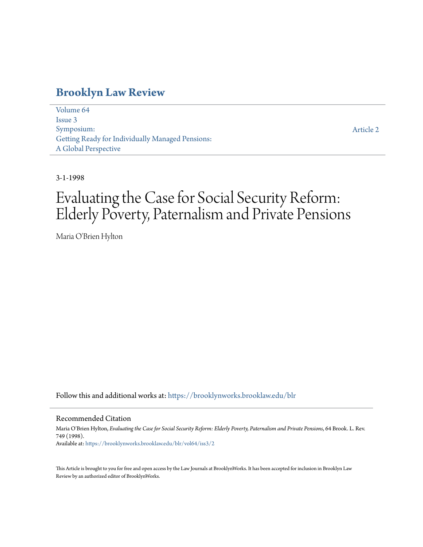# **[Brooklyn Law Review](https://brooklynworks.brooklaw.edu/blr?utm_source=brooklynworks.brooklaw.edu%2Fblr%2Fvol64%2Fiss3%2F2&utm_medium=PDF&utm_campaign=PDFCoverPages)**

[Volume 64](https://brooklynworks.brooklaw.edu/blr/vol64?utm_source=brooklynworks.brooklaw.edu%2Fblr%2Fvol64%2Fiss3%2F2&utm_medium=PDF&utm_campaign=PDFCoverPages) [Issue 3](https://brooklynworks.brooklaw.edu/blr/vol64/iss3?utm_source=brooklynworks.brooklaw.edu%2Fblr%2Fvol64%2Fiss3%2F2&utm_medium=PDF&utm_campaign=PDFCoverPages) Symposium: Getting Ready for Individually Managed Pensions: A Global Perspective

[Article 2](https://brooklynworks.brooklaw.edu/blr/vol64/iss3/2?utm_source=brooklynworks.brooklaw.edu%2Fblr%2Fvol64%2Fiss3%2F2&utm_medium=PDF&utm_campaign=PDFCoverPages)

# 3-1-1998

# Evaluating the Case for Social Security Reform: Elderly Poverty, Paternalism and Private Pensions

Maria O'Brien Hylton

Follow this and additional works at: [https://brooklynworks.brooklaw.edu/blr](https://brooklynworks.brooklaw.edu/blr?utm_source=brooklynworks.brooklaw.edu%2Fblr%2Fvol64%2Fiss3%2F2&utm_medium=PDF&utm_campaign=PDFCoverPages)

# Recommended Citation

Maria O'Brien Hylton, *Evaluating the Case for Social Security Reform: Elderly Poverty, Paternalism and Private Pensions*, 64 Brook. L. Rev. 749 (1998). Available at: [https://brooklynworks.brooklaw.edu/blr/vol64/iss3/2](https://brooklynworks.brooklaw.edu/blr/vol64/iss3/2?utm_source=brooklynworks.brooklaw.edu%2Fblr%2Fvol64%2Fiss3%2F2&utm_medium=PDF&utm_campaign=PDFCoverPages)

This Article is brought to you for free and open access by the Law Journals at BrooklynWorks. It has been accepted for inclusion in Brooklyn Law Review by an authorized editor of BrooklynWorks.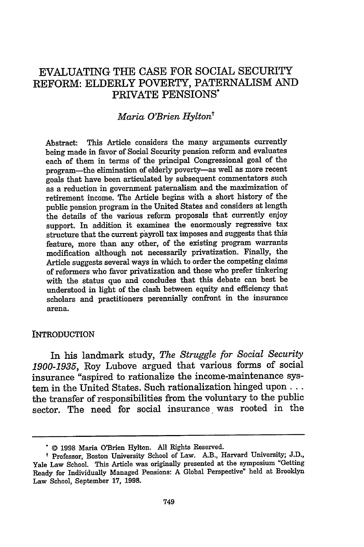# **EVALUATING** THE **CASE** FOR SOCIAL SECURITY REFORM: ELDERLY POVERTY, PATERNALISM **AND** PRIVATE **PENSIONS\***

# *Maria O'Brien Hylton<sup>t</sup>*

Abstract: This Article considers the many arguments currently being made in favor of Social Security pension reform and evaluates each of them in terms of the principal Congressional goal of the program-the elimination of elderly poverty-as well as more recent goals that have been articulated by subsequent commentators such as a reduction in government paternalism and the maximization of retirement income. The Article begins with a short history of the public pension program in the United States and considers at length the details of the various reform proposals that currently enjoy support. In addition it examines the enormously regressive tax structure that the current payroll tax imposes and suggests that this feature, more than any other, of the existing program warrants modification although not necessarily privatization. Finally, the Article suggests several ways in which to order the competing claims of reformers who favor privatization and those who prefer tinkering with the status quo and concludes that this debate can best be understood in light of the clash between equity and efficiency that scholars and practitioners perennially confront in the insurance arena.

#### **INTRODUCTION**

In his landmark study, *The Struggle for Social Security 1900-1935,* Roy Lubove argued that various forms of social insurance "aspired to rationalize the income-maintenance system in the United States. Such rationalization hinged upon... the transfer of responsibilities from the voluntary to the public sector. The need for social insurance was rooted in the

<sup>\* ©</sup> **1998** Maria O'Brien Hylton. All Rights Reserved.

Professor, Boston University School of Law. A.B., Harvard University; J.D., Yale Law School. This Article was originally presented at the symposium "Getting Ready for Individually Managed Pensions: A Global Perspective" held at Brooklyn Law School, September **17,** 1998.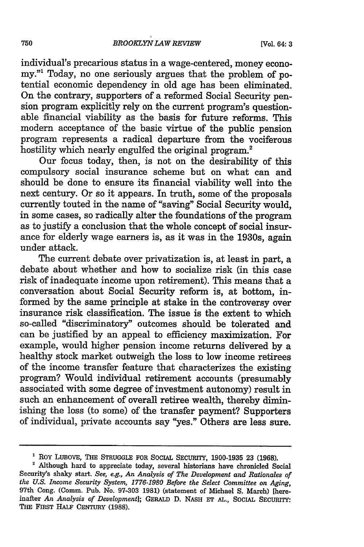individual's precarious status in a wage-centered, money economy."<sup>1</sup> Today, no one seriously argues that the problem of potential economic dependency in old age has been eliminated. On the contrary, supporters of a reformed Social Security pension program explicitly rely on the current program's questionable financial viability as the basis for future reforms. This modern acceptance of the basic virtue of the public pension program represents a radical departure from the vociferous hostility which nearly engulfed the original program.<sup>2</sup>

Our focus today, then, is not on the desirability of this compulsory social insurance scheme but on what can and should be done to ensure its financial viability well into the next century. Or so it appears. In truth, some of the proposals currently touted in the name of "saving" Social Security would, in some cases, so radically alter the foundations of the program as to justify a conclusion that the whole concept of social insurance for elderly wage earners is, as it was in the 1930s, again under attack.

The current debate over privatization is, at least in part, a debate about whether and how to socialize risk (in this case risk of inadequate income upon retirement). This means that a conversation about Social Security reform is, at bottom, informed by the same principle at stake in the controversy over insurance risk classification. The issue is the extent to which so-called "discriminatory" outcomes should be tolerated and can be justified by an appeal to efficiency maximization. For example, would higher pension income returns delivered by a healthy stock market outweigh the loss to low income retirees of the income transfer feature that characterizes the existing program? Would individual retirement accounts (presumably associated with some degree of investment autonomy) result in such an enhancement of overall retiree wealth, thereby diminishing the loss (to some) of the transfer payment? Supporters of individual, private accounts say "yes." Others are less sure.

ROY **LUBOVE, THE STRUGGLE FOR SOCIAL SECURITY, 1900-1935 23 (1968).**

<sup>&</sup>lt;sup>2</sup> Although hard to appreciate today, several historians have chronicled Social Security's shaky start. *See, e.g., An Analysis of The Development and Rationales of the U.S. Income Security System, 1776-1980 Before the Select Committee on Aging,* 97th Cong. (Comm. Pub. No. 97-303 1981) (statement of Michael S. March) [hereinafter *An Analysis of Development];* GERALD D. NASH **ET** AL., SOCIAL SECURITY: THE FIRST HALF **CENTURY (1988).**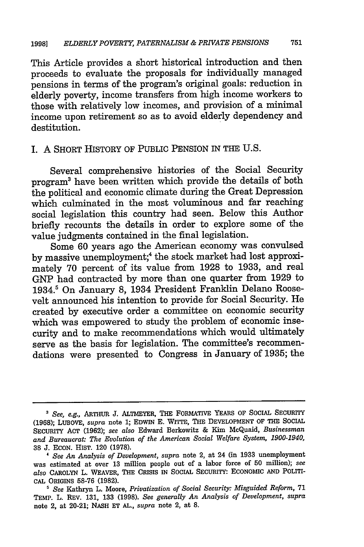This Article provides a short historical introduction and then proceeds to evaluate the proposals for individually managed pensions in terms of the program's original goals: reduction in elderly poverty, income transfers from high income workers to those with relatively low incomes, and provision of a minimal income upon retirement so as to avoid elderly dependency and destitution.

# I. A SHORT HISTORY OF PUBLIC PENSION IN THE U.S.

Several comprehensive histories of the Social Security program3 have been written which provide the details of both the political and economic climate during the Great Depression which culminated in the most voluminous and far reaching social legislation this country had seen. Below this Author briefly recounts the details in order to explore some of the value judgments contained in the final legislation.

Some 60 years ago the American economy was convulsed by massive unemployment;<sup>4</sup> the stock market had lost approximately 70 percent of its value from 1928 to 1933, and real GNP had contracted by more than one quarter from 1929 to 1934.' On January 8, 1934 President Franklin Delano Roosevelt announced his intention to provide for Social Security. He created by executive order a committee on economic security which was empowered to study the problem of economic insecurity and to make recommendations which would ultimately serve as the basis for legislation. The committee's recommendations were presented to Congress in January of 1935; the

*<sup>&#</sup>x27; See, e.g.,* ARTHUR J. ALTMEYER, THE FORMATIVE YEARS OF SOCIAL SECURITY (1968); LUBOVE, *supra* note 1; EDWIN E. WITrE, THE DEVELOPMENT OF THE SOCIAL SECURITY ACT (1962); *see also* Edward Berkowitz & Kim McQuaid, *Businessman and Bureaucrat: The Evolution of the American Social Welfare System, 1900-1940,* 38 J. ECON. HIST. 120 (1978).

*See An Analysis of Development, supra* note 2, at 24 (in 1933 unemployment was estimated at over 13 million people out of a labor force of 50 million); *see also* CAROLYN L. WEAVER, THE CRISIS IN SOCIAL SECURITY: ECONOMIC AND POLITI-CAL ORIGINS 58-76 (1982).

*<sup>&#</sup>x27; See* Kathryn L. Moore, *Privatization of Social Security: Misguided Reform,* 71 TEMP. L. REV. 131, 133 (1998). *See generally An Analysis of Development, supra* note 2, at 20-21; NASH ET AL., *supra* note 2, at 8.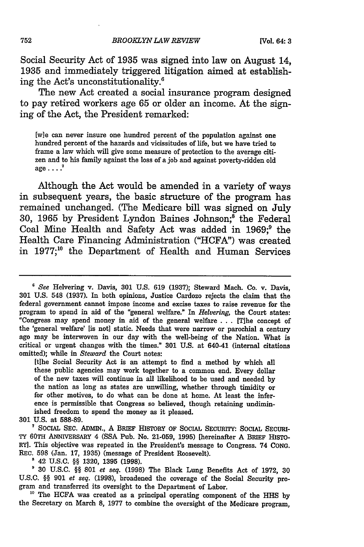Social Security Act of 1935 was signed into law on August 14, 1935 and immediately triggered litigation aimed at establishing the Act's unconstitutionality.6

The new Act created a social insurance program designed to pay retired workers age 65 or older an income. At the signing of the Act, the President remarked:

[w]e can never insure one hundred percent of the population against one hundred percent of the hazards and vicissitudes of life, but we have tried to frame a law which will give some measure of protection to the average citizen and to his family against the loss of a job and against poverty-ridden old age  $\ldots$ .<sup>7</sup>

Although the Act would be amended in a variety of ways in subsequent years, the basic structure of the program has remained unchanged. (The Medicare bill was signed on July 30, 1965 by President Lyndon Baines Johnson;<sup>8</sup> the Federal Coal Mine Health and Safety Act was added in 1969;<sup>9</sup> the Health Care Financing Administration ("HCFA") was created in  $1977;^{10}$  the Department of Health and Human Services

[tihe Social Security Act is an attempt to find a method by which all these public agencies may work together to a common end. Every dollar of the new taxes will continue in all likelihood to be used and needed by the nation as long as states are unwilling, whether through timidity or for other motives, to do what can be done at home. At least the inference is permissible that Congress so believed, though retaining undiminished freedom to spend the money as it pleased.

301 U.S. at 588-89.

**7 SOCIAL** SEC. ADMIN., A BRIEF HISTORY **OF** SOCIAL SECURITY: **SOCIAL SECURI-**TY **60TH** ANNIVERSARY 4 **(SSA** Pub. No. **21-059, 1995)** [hereinafter **A** BRIEF HISTO-RY]. This objective was repeated in the President's message to Congress. 74 **CONG.** REC. **598** (Jan. **17, 1935)** (message of President Roosevelt).

**<sup>8</sup>**42 **U.S.C.** §§ **1320, 1395 (1998).**

**30 U.S.C.** *§§* **801** *et seq.* **(1998)** The Black Lung Benefits Act of **1972, 30 U.S.C.** §§ **901** *et seq.* **(1998),** broadened the coverage of the Social Security program and transferred its oversight to the Department of Labor.

**"0** The **HCFA** was created as a principal operating component of the **HHS by** the Secretary on March **8, 1977** to combine the oversight of the Medicare program,

*<sup>6</sup>See* Helvering v. Davis, 301 U.S. 619 (1937); Steward Mach. Co. v. Davis, 301 U.S. 548 (1937). In both opinions, Justice Cardozo rejects the claim that the federal government cannot impose income and excise taxes to raise revenue for the program to spend in aid of the "general welfare." In *Helvering,* the Court states: "Congress may spend money in aid of the general welfare **. .. ITIhe** concept of the 'general welfare' [is not] static. Needs that were narrow or parochial a century ago may be interwoven in our day with the well-being of the Nation. What is critical or urgent changes with the times." **301 U.S.** at 640-41 (internal citations omitted); while in *Steward* the Court notes: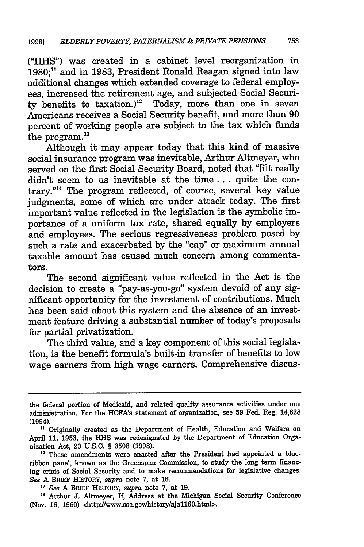**("HHS")** was created in a cabinet level reorganization in 1980;<sup>11</sup> and in 1983, President Ronald Reagan signed into law additional changes which extended coverage to federal employees, increased the retirement age, and subjected Social Security benefits to taxation.)<sup>12</sup> Today, more than one in seven Americans receives a Social Security benefit, and more than 90 percent of working people are subject to the tax which funds the program.<sup>13</sup>

Although it may appear today that this kind of massive social insurance program was inevitable, Arthur Altmeyer, who served on the first Social Security Board, noted that "[ilt really didn't seem to us inevitable at the time... quite the contrary."<sup>14</sup> The program reflected, of course, several key value judgments, some of which are under attack today. The first important value reflected in the legislation is the symbolic importance of a uniform tax rate, shared equally by employers and employees. The serious regressiveness problem posed by such a rate and exacerbated by the "cap" or maximum annual taxable amount has caused much concern among commentators.

The second significant value reflected in the Act is the decision to create a "pay-as-you-go" system devoid of any significant opportunity for the investment of contributions. Much has been said about this system and the absence of an investment feature driving a substantial number of today's proposals for partial privatization.

The third value, and a key component of this social legislation, is the benefit formula's built-in transfer of benefits to low wage earners from high wage earners. Comprehensive discus-

the federal portion of Medicaid, and related quality assurance activities under one administration. For the HCFA's statement of organization, see 59 Fed. Reg. 14,628 (1994).

**<sup>&</sup>quot;** Originally created as the Department of Health, Education and Welfare on April 11, 1953, the **HHS** was redesignated by the Department of Education Organization Act, 20 U.S.C. § 3508 (1998).

<sup>&</sup>lt;sup>12</sup> These amendments were enacted after the President had appointed a blueribbon panel, known as the Greenspan Commission, to study the long term financing crisis of Social Security and to make recommendations for legislative changes. *See* A BRIEF HISTORY, *supra* note **7,** at **16.**

**<sup>13</sup>***See* A BRIEF HISTORY, *supra* note 7, at **19.**

**<sup>&</sup>quot;** Arthur J. Altmeyer, If, Address at the Michigan Social Security Conference (Nov. 16, 1960) <http://www.ssa.gov/history/ajall60.html>.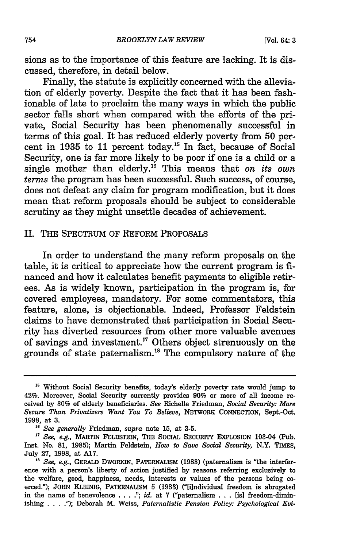sions as to the importance of this feature are lacking. It is discussed, therefore, in detail below.

Finally, the statute is explicitly concerned with the alleviation of elderly poverty. Despite the fact that it has been fashionable of late to proclaim the many ways in which the public sector falls short when compared with the efforts of the private, Social Security has been phenomenally successful in terms of this goal. It has reduced elderly poverty from 50 percent in 1935 to 11 percent today.<sup>15</sup> In fact, because of Social Security, one is far more likely to be poor if one is a child or a single mother than elderly.<sup>16</sup> This means that *on its own terms* the program has been successful. Such success, of course, does not defeat any claim for program modification, but it does mean that reform proposals should be subject to considerable scrutiny as they might unsettle decades of achievement.

# II. THE SPECTRUM OF REFORM PROPOSALS

In order to understand the many reform proposals on the table, it is critical to appreciate how the current program is financed and how it calculates benefit payments to eligible retirees. As is widely known, participation in the program is, for covered employees, mandatory. For some commentators, this feature, alone, is objectionable. Indeed, Professor Feldstein claims to have demonstrated that participation in Social Security has diverted resources from other more valuable avenues of savings and investment.<sup>17</sup> Others object strenuously on the grounds of state paternalism. $^{18}$  The compulsory nature of the

<sup>&</sup>lt;sup>15</sup> Without Social Security benefits, today's elderly poverty rate would jump to 42%. Moreover, Social Security currently provides **90%** or more of all income received by 30% of elderly beneficiaries. *See* Richelle Friedman, *Social Security: More Secure Than Privatizers Want You To Believe,* NETWORK CONNECTION, Sept.-Oct. 1998, at 3.

*<sup>&</sup>quot; See generally* Friedman, *supra* note 15, at 3-5.

**<sup>&#</sup>x27;7** *See, e.g.,* MARTIN FELDSTEIN, THE SOCIAL SECURITY EXPLOSION 103-04 (Pub. Inst. No. **81,** 1985); Martin Feldstein, *How to Save Social Security,* N.Y. TIMES, July 27, 1998, at A17.

**<sup>&</sup>quot;** *See, e.g.,* GERALD DWORKIN, PATERNALISM (1983) (paternalism is "the interference with a person's liberty of action justified by reasons referring exclusively to the welfare, good, happiness, needs, interests or values of the persons being coerced."); JOHN KLEINIG, PATERNALISM 5 (1983) ("[individual freedom is abrogated in the name of benevolence ... **.";** *id.* at 7 ("paternalism **. . .** [is] freedom-diminishing . **. .** ."); Deborah M. Weiss, *Paternalistic Pension Policy: Psychological Evi-*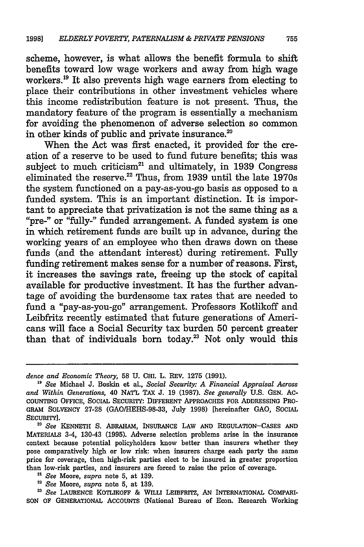scheme, however, is what allows the benefit formula to shift benefits toward low wage workers and away from high wage workers.<sup>19</sup> It also prevents high wage earners from electing to place their contributions in other investment vehicles where this income redistribution feature is not present. Thus, the mandatory feature of the program is essentially a mechanism for avoiding the phenomenon of adverse selection so common in other kinds of public and private insurance.<sup>20</sup>

When the Act was first enacted, it provided for the creation of a reserve to be used to fund future benefits; this was subject to much criticism<sup>21</sup> and ultimately, in 1939 Congress eliminated the reserve.22 Thus, from **1939** until the late 1970s the system functioned on a pay-as-you-go basis as opposed to a funded system. This is an important distinction. It is important to appreciate that privatization is not the same thing as a "pre-" or "fully-" funded arrangement. A funded system is one in which retirement funds are built up in advance, during the working years of an employee who then draws down on these **funds** (and the attendant interest) during retirement. Fully funding retirement makes sense for a number of reasons. First, it increases the savings rate, freeing up the stock of capital available for productive investment. It has the further advantage of avoiding the burdensome tax rates that are needed to fund a "pay-as-you-go" arrangement. Professors Kotlikoff and Leibfritz recently estimated that future generations of Americans will face a Social Security tax burden **50** percent greater than that of individuals **born** today.23 Not only would this

- **<sup>21</sup>***See* Moore, *supra* note 5, at 139.
- **<sup>2</sup>***See* Moore, *supra* note **5,** at **139.**

*2See* LAURENCE KOTLIKOFF & WILLi LEIBFRITz, AN INTERNATIONAL COMPARI-SON OF GENERATIONAL ACCOUNTS (National Bureau of Econ. Research Working

*dence and Economic Theory,* **58 U.** CHI. L. REv. **1275 (1991).**

**<sup>1&</sup>quot;** *See* Michael **J.** Boskin et al., *Social Security: A Financial Appraisal Across and Within Generations,* 40 NATL TAX J. 19 (1987). *See generally* U.S. GEN. AC-COUNTING **OFFICE, SOCIAL** SECURITY: DIFFERENT APPROACHES FOR ADDRESSING PRO-GRAM SOLVENCY 27-28 (GAO/HEHS-98-33, July 1998) [hereinafter GAO, SOCIAL SECURITY].

**<sup>20</sup>***See* KENNETH **S.** ABRAHAM, INSURANCE LAW AND REGULATION-CASES AND MATERIALS 3-4, 130-43 (1995). Adverse selection problems arise in the insurance context because potential policyholders know better than insurers whether they pose comparatively high or low risk: when insurers charge each party the same price for coverage, then high-risk parties elect to be insured in greater proportion than low-risk parties, and insurers are forced to raise the price of coverage.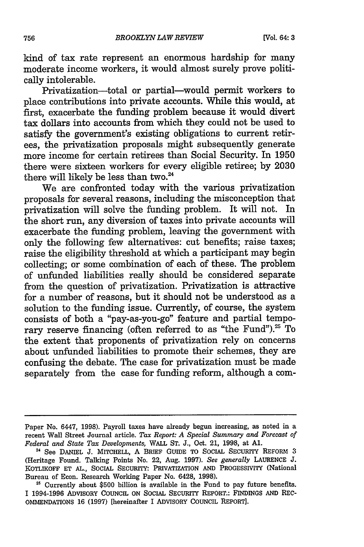kind of tax rate represent an enormous hardship for many moderate income workers, it would almost surely prove politically intolerable.

Privatization-total or partial-would permit workers to place contributions into private accounts. While this would, at first, exacerbate the funding problem because it would divert tax dollars into accounts from which they could not be used to satisfy the government's existing obligations to current retirees, the privatization proposals might subsequently generate more income for certain retirees than Social Security. In 1950 there were sixteen workers for every eligible retiree; by 2030 there will likely be less than two.<sup>24</sup>

We are confronted today with the various privatization proposals for several reasons, including the misconception that privatization will solve the funding problem. It will not. In the short run, any diversion of taxes into private accounts will exacerbate the funding problem, leaving the government with only the following few alternatives: cut benefits; raise taxes; raise the eligibility threshold at which a participant may begin collecting; or some combination of each of these. The problem of unfunded liabilities really should be considered separate from the question of privatization. Privatization is attractive for a number of reasons, but it should not be understood as a solution to the funding issue. Currently, of course, the system consists of both a "pay-as-you-go" feature and partial temporary reserve financing (often referred to as "the Fund").<sup>25</sup> To the extent that proponents of privatization rely on concerns about unfunded liabilities to promote their schemes, they are confusing the debate. The case for privatization must be made separately from the case for funding reform, although a com-

Paper No. 6447, 1998). Payroll taxes have already begun increasing, as noted in a recent Wall Street Journal article. *Tax Report: A Special Summary and Forecast of Federal and State Tax Developments,* WALL ST. J., Oct. 21, 1998, at **Al.**

**<sup>24</sup>**See DANIEL J. MITCHELL, A BRIEF GUIDE TO SOCIAL SECURITY REFORM 3 (Heritage Found. Talking Points No. 22, Aug. 1997). *See generally* LAURENCE J. KOTLIKOFF ET AL., SOCIAL SECURITY: PRIVATIZATION AND PROGESSIVITY (National Bureau of Econ. Research Working Paper No. 6428, 1998).

<sup>&</sup>lt;sup>25</sup> Currently about \$500 billion is available in the Fund to pay future benefits. I 1994-1996 ADVISORY COUNCIL ON SOCIAL SECURITY REPORT.: FINDINGS AND REC-OMMENDATIONS 16 (1997) [hereinafter I ADVISORY COUNCIL REPORT].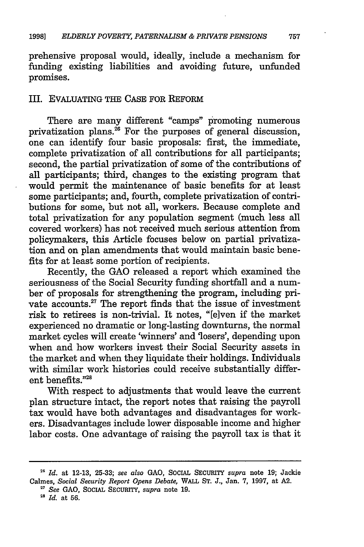prehensive proposal would, ideally, include a mechanism for funding existing liabilities and avoiding future, unfunded promises.

# III. EVALUATING THE CASE FOR REFORM

There are many different "camps" promoting numerous privatization plans.<sup>26</sup> For the purposes of general discussion, one can identify four basic proposals: first, the immediate, complete privatization of all contributions for all participants; second, the partial privatization of some of the contributions of all participants; third, changes to the existing program that would permit the maintenance of basic benefits for at least some participants; and, fourth, complete privatization of contributions for some, but not all, workers. Because complete and total privatization for any population segment (much less all covered workers) has not received much serious attention from policymakers, this Article focuses below on partial privatization and on plan amendments that would maintain basic benefits for at least some portion of recipients.

Recently, the GAO released a report which examined the seriousness of the Social Security funding shortfall and a number of proposals for strengthening the program, including private accounts.<sup>27</sup> The report finds that the issue of investment risk to retirees is non-trivial. It notes, "[elven if the market experienced no dramatic or long-lasting downturns, the normal market cycles will create 'winners' and 'losers', depending upon when and how workers invest their Social Security assets in the market and when they liquidate their holdings. Individuals with similar work histories could receive substantially different benefits."28

With respect to adjustments that would leave the current plan structure intact, the report notes that raising the payroll tax would have both advantages and disadvantages for workers. Disadvantages include lower disposable income and higher labor costs. One advantage of raising the payroll tax is that it

**<sup>28</sup>***Id.* at **12-13, 25-33;** *see also* **GAO,** SOCIAL SECURITY *supra* note **19;** Jackie Calmes, *Social Security Report Opens Debate,* WALL ST. J., Jan. 7, 1997, at A2.

*<sup>27</sup>See* **GAO,** SOCIAL SECURITY, *supra* note 19.

**<sup>28</sup>** *Id.* at **56.**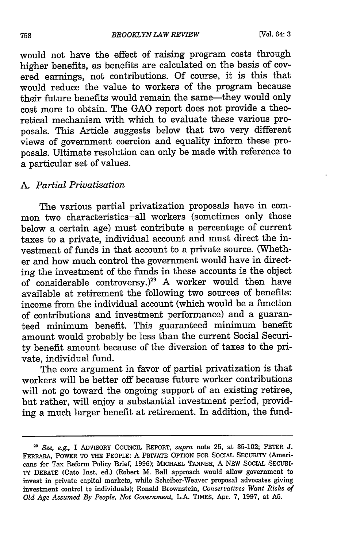*BROOKLYN LAW REVIEW*

would not have the effect of raising program costs through higher benefits, as benefits are calculated on the basis of covered earnings, not contributions. Of course, it is this that would reduce the value to workers of the program because their future benefits would remain the same-they would only cost more to obtain. The GAO report does not provide a theoretical mechanism with which to evaluate these various proposals. This Article suggests below that two very different views of government coercion and equality inform these proposals. Ultimate resolution can only be made with reference to a particular set of values.

# *A. Partial Privatization*

The various partial privatization proposals have in common two characteristics-all workers (sometimes only those below a certain age) must contribute a percentage of current taxes to a private, individual account and must direct the investment of funds in that account to a private source. (Whether and how much control the government would have in directing the investment of the funds in these accounts is the object of considerable controversy.)<sup>29</sup> A worker would then have available at retirement the following two sources of benefits: income from the individual account (which would be a function of contributions and investment performance) and a guaranteed minimum benefit. This guaranteed minimum benefit amount would probably be less than the current Social Security benefit amount because of the diversion of taxes to the private, individual fund.

The core argument in favor of partial privatization is that workers will be better off because future worker contributions will not go toward the ongoing support of an existing retiree, but rather, will enjoy a substantial investment period, providing a much larger benefit at retirement. In addition, the fund-

*<sup>29</sup>See, e.g.,* I ADVISORY **COUNCIL** REPORT, *supra* note **25,** at **35-102;** PETER **J.** FERRARA, POWER TO THE PEOPLE: **A** PRIVATE OPTION FOR **SOCIAL** SECURITY (Americans for Tax Reform Policy Brief, **1996);** MICHAEL **TANNER, A** NEW SOCIAL **SECURI-**TY **DEBATE** (Cato Inst. ed.) (Robert M. Ball approach would allow government to invest in private capital markets, **while** Scheiber-Weaver proposal advocates giving investment control to individuals); Ronald Brownstein, *Conservatives Want Risks of Old Age Assumed By People, Not Government,* **L.A.** TIMES, Apr. **7, 1997,** at **A5.**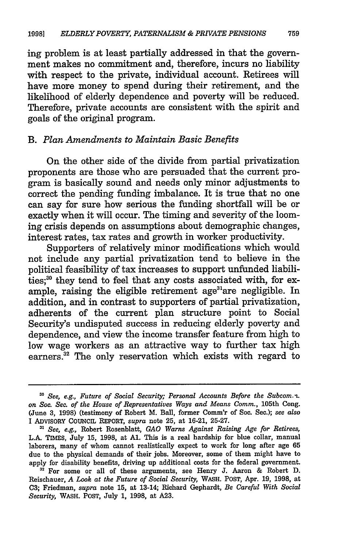ing problem is at least partially addressed in that the government makes no commitment and, therefore, incurs no liability with respect to the private, individual account. Retirees will have more money to spend during their retirement, and the likelihood of elderly dependence and poverty will be reduced. Therefore, private accounts are consistent with the spirit and goals of the original program.

#### B. *Plan Amendments to Maintain Basic Benefits*

On the other side of the divide from partial privatization proponents are those who are persuaded that the current program is basically sound and needs only minor adjustments to correct the pending funding imbalance. It is true that no one can say for sure how serious the funding shortfall will be or exactly when it will occur. The timing and severity of the looming crisis depends on assumptions about demographic changes, interest rates, tax rates and growth in worker productivity.

Supporters of relatively minor modifications which would not include any partial privatization tend to believe in the political feasibility of tax increases to support unfunded liabilities;<sup>30</sup> they tend to feel that any costs associated with, for example, raising the eligible retirement age<sup>31</sup>are negligible. In addition, and in contrast to supporters of partial privatization, adherents of the current plan structure point to Social Security's undisputed success in reducing elderly poverty and dependence, and view the income transfer feature from high to low wage workers as an attractive way to further tax high earners.<sup>32</sup> The only reservation which exists with regard to

*<sup>&</sup>quot;0 See, e.g., Future of Social Security; Personal Accounts Before the Subcom.i. on Soc. Sec. of the House of Representatives Ways and Means Comm.,* 105th Cong. (June 3, 1998) (testimony of Robert M. Ball, former Comm'r of Soc. Sec.); *see also* **I** ADvIsoRY COUNCIL REPORT, *supra* note 25, at 16-21, 25-27.

*<sup>31</sup>See, e.g.,* Robert Rosenblatt, *GAO Warns Against Raising Age for Retirees,* L.A. TIMES, July 15, 1998, at **Al.** This is a real hardship for blue collar, manual laborers, many of whom cannot realistically expect to work for long after age 65 due to the physical demands of their jobs. Moreover, some of them might have to apply for disability benefits, driving up additional costs for the federal government.

**<sup>2</sup>** For some or all of these arguments, see Henry J. Aaron & Robert D. Reischauer, *A Look at the Future of Social Security,* WASH. POST, Apr. 19, 1998, at **C3;** Friedman, *supra* note 15, at 13-14; Richard Gephardt, *Be Careful With Social Security,* WASH. POST, July *1,* 1998, at A23.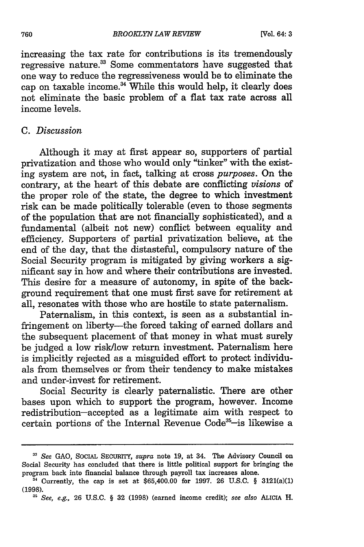increasing the tax rate for contributions is its tremendously regressive nature.<sup>33</sup> Some commentators have suggested that one way to reduce the regressiveness would be to eliminate the cap on taxable income.<sup>34</sup> While this would help, it clearly does not eliminate the basic problem of a flat tax rate across all income levels.

# *C. Discussion*

Although it may at first appear so, supporters of partial privatization and those who would only "tinker" with the existing system are not, in fact, talking at cross *purposes.* On the contrary, at the heart of this debate are conflicting *visions* of the proper role of the state, the degree to which investment risk can be made politically tolerable (even to those segments of the population that are not financially sophisticated), and a fundamental (albeit not new) conflict between equality and efficiency, Supporters of partial privatization believe, at the end of the day, that the distasteful, compulsory nature of the Social Security program is mitigated by giving workers a significant say in how and where their contributions are invested. This desire for a measure of autonomy, in spite of the background requirement that one must first save for retirement at all, resonates with those who are hostile to state paternalism.

Paternalism, in this context, is seen as a substantial infringement on liberty---the forced taking of earned dollars and the subsequent placement of that money in what must surely be judged a low risk/low return investment. Paternalism here is implicitly rejected as a misguided effort to protect individuals from themselves or from their tendency to make mistakes and under-invest for retirement.

Social Security is clearly paternalistic. There are other bases upon which to support the program, however. Income redistribution-accepted as a legitimate aim with respect to certain portions of the Internal Revenue Code<sup>35</sup>-is likewise a

*" See, e.g.,* 26 U.S.C. § 32 (1998) (earned income credit); *see also* ALICIA H.

<sup>&</sup>lt;sup>33</sup> See GAO, SOCIAL SECURITY, *supra* note 19, at 34. The Advisory Council on Social Security has concluded that there is little political support for bringing the program back into financial balance through payroll tax increases alone.

**<sup>&</sup>quot;'** Currently, the cap is set at \$65,400.00 for 1997. 26 U.S.C. § 3121(a)(1) (1998).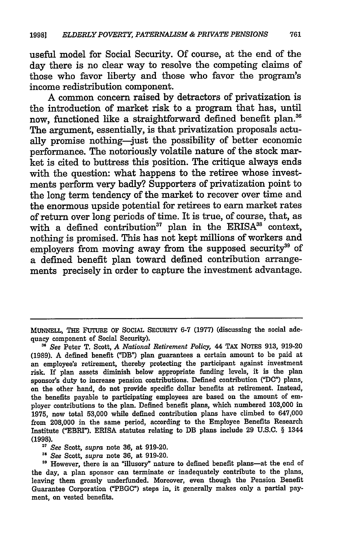useful model for Social Security. **Of** course, at the end of the day there is no clear way to resolve the competing claims of those who favor liberty and those who favor the program's income redistribution component.

**A** common concern raised **by** detractors of privatization is the introduction of market risk to a program that has, until now, functioned like a straightforward defined benefit plan.<sup>36</sup> The argument, essentially, is that privatization proposals actually promise nothing-just the possibility of better economic performance. The notoriously volatile nature of the stock market is cited to buttress this position. The critique always ends with the question: what happens to the retiree whose investments perform very badly? Supporters of privatization point to the long term tendency of the market to recover over time and the enormous upside potential for retirees to earn market rates of return over long periods of time. It is true, of course, that, as with a defined contribution<sup>37</sup> plan in the ERISA<sup>38</sup> context, nothing is promised. This has not kept millions of workers and employers from moving away from the supposed security<sup>39</sup> of a defined benefit plan toward defined contribution arrangements precisely in order to capture the investment advantage.

'7 *See* Scott, *supra* note 36, at 919-20.

*See* Scott, *supra* note **36,** at 919-20.

MUNNELL, THE FUTURE OF SOCIAL SECURITY 6-7 (1977) (discussing the social adequacy component of Social Security).

*<sup>&</sup>quot; See* Peter T. Scott, *A National Retirement Policy,* 44 **TAX** NOTES **913,** 919-20 (1989). A defined benefit ("DB") plan guarantees a certain amount to be paid at an employee's retirement, thereby protecting the participant against investment risk. If plan assets diminish below appropriate funding levels, it is the plan sponsor's duty to increase pension contributions. Defined contribution ("DC") plans, on the other hand, do not provide specific dollar benefits at retirement. Instead, the benefits payable to participating employees are based on the amount of employer contributions to the plan. Defined benefit plans, which numbered 103,000 in **1975,** now total **53,000** while defined contribution plans have climbed to 647,000 from 208,000 in the same period, according to the Employee Benefits Research Institute ("EBRI"). ERISA statutes relating to DB plans include 29 U.S.C. § 1344 (1998).

<sup>&</sup>lt;sup>39</sup> However, there is an "illusory" nature to defined benefit plans-at the end of the day, a plan sponsor can terminate or inadequately contribute to the plans, leaving them grossly underfunded. Moreover, even though the Pension Benefit Guarantee Corporation ("PBGC") steps in, it generally makes only a partial payment, on vested benefits.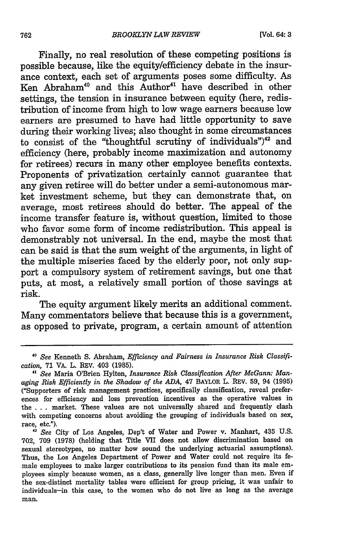Finally, no real resolution of these competing positions is possible because, like the equity/efficiency debate in the insurance context, each set of arguments poses some difficulty. As Ken Abraham<sup>40</sup> and this Author<sup>41</sup> have described in other settings, the tension in insurance between equity (here, redistribution of income from high to low wage earners because low earners are presumed to have had little opportunity to save during their working lives; also thought in some circumstances to consist of the "thoughtful scrutiny of individuals") $42$  and efficiency (here, probably income maximization and autonomy for retirees) recurs in many other employee benefits contexts. Proponents of privatization certainly cannot guarantee that any given retiree will do better under a semi-autonomous market investment scheme, but they can demonstrate that, on average, most retirees should do better. The appeal of the income transfer feature is, without question, limited to those who favor some form of income redistribution. This appeal is demonstrably not universal. In the end, maybe the most that can be said is that the sum weight of the arguments, in light of the multiple miseries faced by the elderly poor, not only support a compulsory system of retirement savings, but one that puts, at most, a relatively small portion of those savings at risk.

The equity argument likely merits an additional comment. Many commentators believe that because this is a government, as opposed to private, program, a certain amount of attention

*<sup>40</sup> See* Kenneth S. Abraham, *Efficiency and Fairness in Insurance Risk Classification,* 71 VA. L. REV. 403 (1985).

**<sup>&</sup>quot;** *See* Maria O'Brien Hylton, *Insurance Risk Classification After McGann: Managing Risk Efficiently in the Shadow of the ADA,* 47 BAYLOR L. REV. 59, 94 (1995) ("Supporters of risk management practices, specifically classification, reveal preferences for efficiency and loss prevention incentives as the operative values in the **.. .** market. These values are not universally shared and frequently clash with competing concerns about avoiding the grouping of individuals based on sex, race, etc.").

*<sup>42</sup>See* City of Los Angeles, Dep't of Water and Power v. Manhart, 435 U.S. 702, 709 (1978) (holding that Title VII does not allow discrimination based on sexual stereotypes, no matter how sound the underlying actuarial assumptions). Thus, the Los Angeles Department of Power and Water could not require its female employees to make larger contributions to its pension fund than its male employees simply because women, as a class, generally live longer than men. Even if the sex-distinct mortality tables were efficient for group pricing, it was unfair to individuals-in this case, to the women who do not live as long as the average man.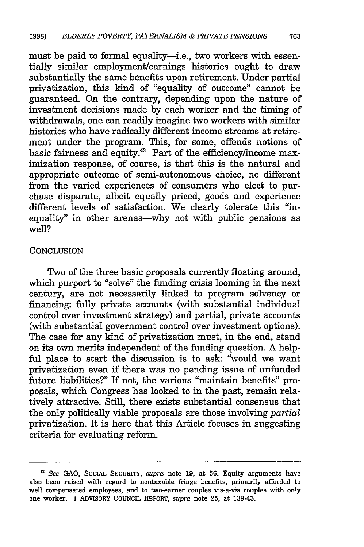must be paid to formal equality-i.e., two workers with essentially similar employment/earnings histories ought to draw substantially the same benefits upon retirement. Under partial privatization, this kind of "equality of outcome" cannot be guaranteed. On the contrary, depending upon the nature of investment decisions made by each worker and the timing of withdrawals, one can readily imagine two workers with similar histories who have radically different income streams at retirement under the program. This, for some, offends notions of basic fairness and equity.<sup>43</sup> Part of the efficiency/income maximization response, of course, is that this is the natural and appropriate outcome of semi-autonomous choice, no different from the varied experiences of consumers who elect to purchase disparate, albeit equally priced, goods and experience different levels of satisfaction. We clearly tolerate this "inequality" in other arenas—why not with public pensions as well?

# **CONCLUSION**

Two of the three basic proposals currently floating around, which purport to "solve" the funding crisis looming in the next century, are not necessarily linked to program solvency or financing: fully private accounts (with substantial individual control over investment strategy) and partial, private accounts (with substantial government control over investment options). The case for any kind of privatization must, in the end, stand on its own merits independent of the funding question. A helpful place to start the discussion is to ask: "would we want privatization even if there was no pending issue of unfunded future liabilities?" If not, the various "maintain benefits" proposals, which Congress has looked to in the past, remain relatively attractive. Still, there exists substantial consensus that the only politically viable proposals are those involving *partial* privatization. It is here that this Article focuses in suggesting criteria for evaluating reform.

*See* GAO, **SOCIAL** SECURITY, *supra* **note 19,** at **56.** Equity arguments have also been raised with regard to nontaxable fringe benefits, primarily afforded to well compensated employees, and to two-earner couples vis-a-vis couples with only one worker. I ADVISORY **COUNCIL** REPORT, *supra* note 25, at 139-43.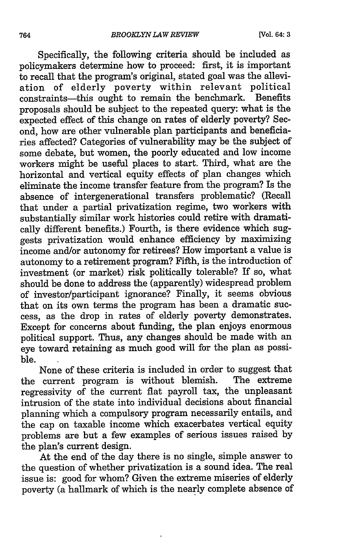Specifically, the following criteria should be included as policymakers determine how to proceed: first, it is important to recall that the program's original, stated goal was the alleviation of elderly poverty within relevant political constraints-this ought to remain the benchmark. Benefits proposals should be subject to the repeated query: what is the expected effect of this change on rates of elderly poverty? Second, how are other vulnerable plan participants and beneficiaries affected? Categories of vulnerability may be the subject of some debate, but women, the poorly educated and low income workers might be useful places to start. Third, what are the horizontal and vertical equity effects of plan changes which eliminate the income transfer feature from the program? Is the absence of intergenerational transfers problematic? (Recall that under a partial privatization regime, two workers with substantially similar work histories could retire with dramatically different benefits.) Fourth, is there evidence which suggests privatization would enhance efficiency by maximizing income and/or autonomy for retirees? How important a value is autonomy to a retirement program? Fifth, is the introduction of investment (or market) risk politically tolerable? If so, what should be done to address the (apparently) widespread problem of investor/participant ignorance? Finally, it seems obvious that on its own terms the program has been a dramatic success, as the drop in rates of elderly poverty demonstrates. Except for concerns about funding, the plan enjoys enormous political support. Thus, any changes should be made with an eye toward retaining as much good will for the plan as possible.

None of these criteria is included in order to suggest that<br>current program is without blemish. The extreme the current program is without blemish. regressivity of the current flat payroll tax, the unpleasant intrusion of the state into individual decisions about financial planning which a compulsory program necessarily entails, and the cap on taxable income which exacerbates vertical equity problems are but a few examples of serious issues raised by the plan's current design.

At the end of the day there is no single, simple answer to the question of whether privatization is a sound idea. The real issue is: good for whom? Given the extreme miseries of elderly poverty (a hallmark of which is the nearly complete absence of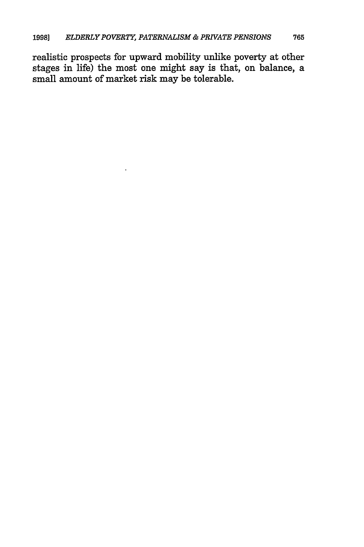$\ddot{\phantom{a}}$ 

realistic prospects for upward mobility unlike poverty at other stages in life) the most one might say is that, on balance, a small amount of market risk may be tolerable.